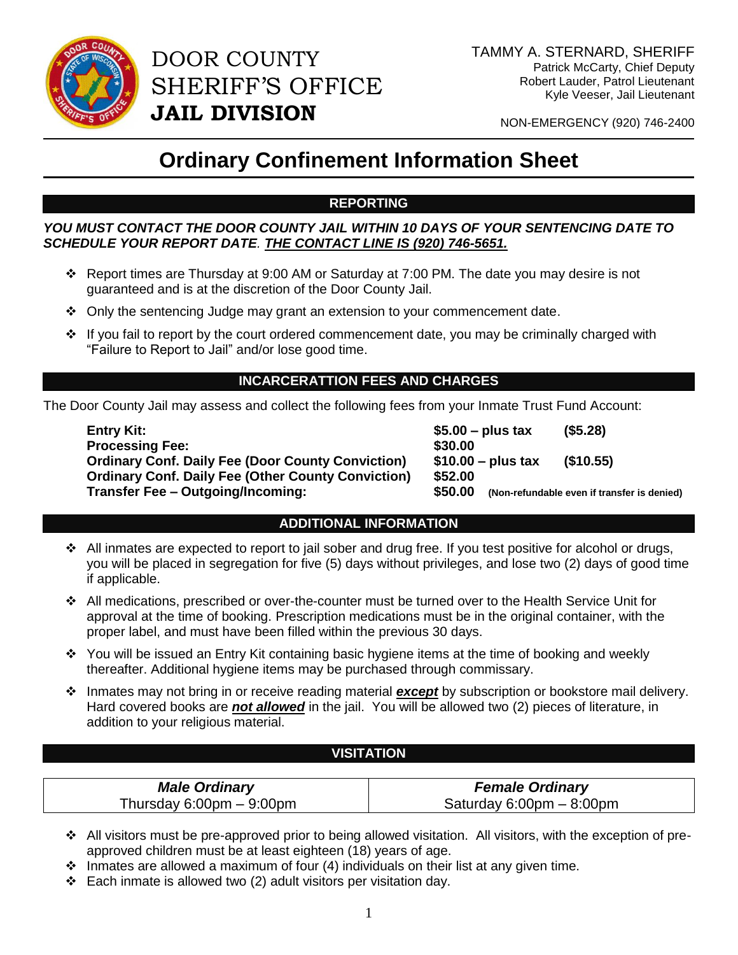

DOOR COUNTY SHERIFF'S OFFICE **JAIL DIVISION**

NON-EMERGENCY (920) 746-2400

# **Ordinary Confinement Information Sheet**

## **REPORTING**

#### *YOU MUST CONTACT THE DOOR COUNTY JAIL WITHIN 10 DAYS OF YOUR SENTENCING DATE TO SCHEDULE YOUR REPORT DATE. THE CONTACT LINE IS (920) 746-5651.*

- Report times are Thursday at 9:00 AM or Saturday at 7:00 PM. The date you may desire is not guaranteed and is at the discretion of the Door County Jail.
- Only the sentencing Judge may grant an extension to your commencement date.
- \* If you fail to report by the court ordered commencement date, you may be criminally charged with "Failure to Report to Jail" and/or lose good time.

### **INCARCERATTION FEES AND CHARGES**

The Door County Jail may assess and collect the following fees from your Inmate Trust Fund Account:

**Entry Kit: \$5.00 – plus tax (\$5.28) Processing Fee:** \$30.00 **Ordinary Conf. Daily Fee (Door County Conviction) \$10.00 – plus tax (\$10.55) Ordinary Conf. Daily Fee (Other County Conviction) \$52.00 Transfer Fee – Outgoing/Incoming: \$50.00 (Non-refundable even if transfer is denied)**

#### **ADDITIONAL INFORMATION**

- \* All inmates are expected to report to jail sober and drug free. If you test positive for alcohol or drugs, you will be placed in segregation for five (5) days without privileges, and lose two (2) days of good time if applicable.
- All medications, prescribed or over-the-counter must be turned over to the Health Service Unit for approval at the time of booking. Prescription medications must be in the original container, with the proper label, and must have been filled within the previous 30 days.
- \* You will be issued an Entry Kit containing basic hygiene items at the time of booking and weekly thereafter. Additional hygiene items may be purchased through commissary.
- Inmates may not bring in or receive reading material *except* by subscription or bookstore mail delivery. Hard covered books are *not allowed* in the jail. You will be allowed two (2) pieces of literature, in addition to your religious material.

#### **VISITATION**

| <b>Male Ordinary</b>       | <b>Female Ordinary</b>                     |
|----------------------------|--------------------------------------------|
| Thursday 6:00pm $-$ 9:00pm | Saturday $6:00 \text{pm} - 8:00 \text{pm}$ |

- All visitors must be pre-approved prior to being allowed visitation. All visitors, with the exception of preapproved children must be at least eighteen (18) years of age.
- $\cdot$  Inmates are allowed a maximum of four (4) individuals on their list at any given time.
- Each inmate is allowed two (2) adult visitors per visitation day.